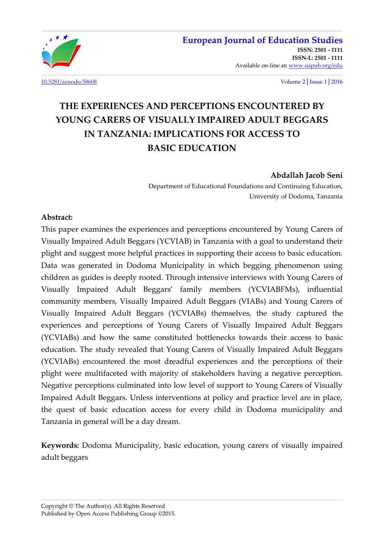

[10.5281/zenodo.58608](http://dx.doi.org/10.5281/zenodo.58608) Volume 2│Issue 1│2016

Available on-line at**:** [www.oapub.org/edu](http://www.oapub.org/edu)

**[ISSN-L: 2501 - 1111](http://oapub.org/edu/index.php/ejes)** 

# **THE EXPERIENCES AND PERCEPTIONS ENCOUNTERED BY YOUNG CARERS OF VISUALLY IMPAIRED ADULT BEGGARS IN TANZANIA: IMPLICATIONS FOR ACCESS TO BASIC EDUCATION**

## **Abdallah Jacob Seni**

Department of Educational Foundations and Continuing Education, University of Dodoma, Tanzania

#### **Abstract:**

This paper examines the experiences and perceptions encountered by Young Carers of Visually Impaired Adult Beggars (YCVIAB) in Tanzania with a goal to understand their plight and suggest more helpful practices in supporting their access to basic education. Data was generated in Dodoma Municipality in which begging phenomenon using children as guides is deeply rooted. Through intensive interviews with Young Carers of Visually Impaired Adult Beggars' family members (YCVIABFMs), influential community members, Visually Impaired Adult Beggars (VIABs) and Young Carers of Visually Impaired Adult Beggars (YCVIABs) themselves, the study captured the experiences and perceptions of Young Carers of Visually Impaired Adult Beggars (YCVIABs) and how the same constituted bottlenecks towards their access to basic education. The study revealed that Young Carers of Visually Impaired Adult Beggars (YCVIABs) encountered the most dreadful experiences and the perceptions of their plight were multifaceted with majority of stakeholders having a negative perception. Negative perceptions culminated into low level of support to Young Carers of Visually Impaired Adult Beggars. Unless interventions at policy and practice level are in place, the quest of basic education access for every child in Dodoma municipality and Tanzania in general will be a day dream.

**Keywords:** Dodoma Municipality, basic education, young carers of visually impaired adult beggars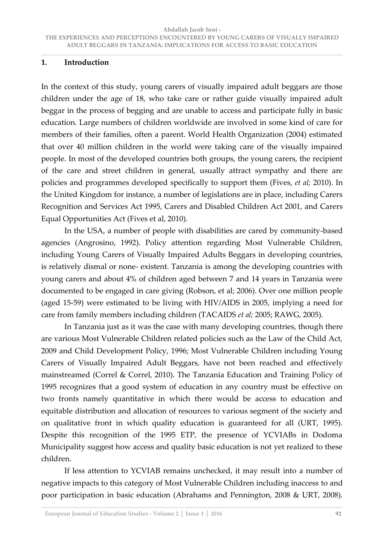#### **1. Introduction**

In the context of this study, young carers of visually impaired adult beggars are those children under the age of 18, who take care or rather guide visually impaired adult beggar in the process of begging and are unable to access and participate fully in basic education. Large numbers of children worldwide are involved in some kind of care for members of their families, often a parent. World Health Organization (2004) estimated that over 40 million children in the world were taking care of the visually impaired people. In most of the developed countries both groups, the young carers, the recipient of the care and street children in general, usually attract sympathy and there are policies and programmes developed specifically to support them (Fives, *et al;* 2010). In the United Kingdom for instance, a number of legislations are in place, including Carers Recognition and Services Act 1995, Carers and Disabled Children Act 2001, and Carers Equal Opportunities Act (Fives et al, 2010).

 In the USA, a number of people with disabilities are cared by community-based agencies (Angrosino, 1992). Policy attention regarding Most Vulnerable Children, including Young Carers of Visually Impaired Adults Beggars in developing countries, is relatively dismal or none- existent. Tanzania is among the developing countries with young carers and about 4% of children aged between 7 and 14 years in Tanzania were documented to be engaged in care giving (Robson, et al; 2006). Over one million people (aged 15-59) were estimated to be living with HIV/AIDS in 2005, implying a need for care from family members including children (TACAIDS *et al;* 2005; RAWG, 2005).

 In Tanzania just as it was the case with many developing countries, though there are various Most Vulnerable Children related policies such as the Law of the Child Act, 2009 and Child Development Policy, 1996; Most Vulnerable Children including Young Carers of Visually Impaired Adult Beggars, have not been reached and effectively mainstreamed (Correl & Correl, 2010). The Tanzania Education and Training Policy of 1995 recognizes that a good system of education in any country must be effective on two fronts namely quantitative in which there would be access to education and equitable distribution and allocation of resources to various segment of the society and on qualitative front in which quality education is guaranteed for all (URT, 1995). Despite this recognition of the 1995 ETP, the presence of YCVIABs in Dodoma Municipality suggest how access and quality basic education is not yet realized to these children.

 If less attention to YCVIAB remains unchecked, it may result into a number of negative impacts to this category of Most Vulnerable Children including inaccess to and poor participation in basic education (Abrahams and Pennington, 2008 & URT, 2008).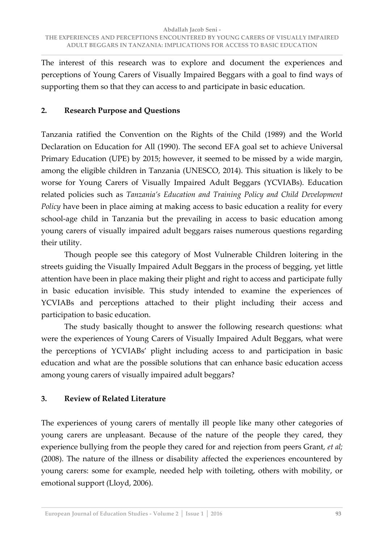The interest of this research was to explore and document the experiences and perceptions of Young Carers of Visually Impaired Beggars with a goal to find ways of supporting them so that they can access to and participate in basic education.

## **2. Research Purpose and Questions**

Tanzania ratified the Convention on the Rights of the Child (1989) and the World Declaration on Education for All (1990). The second EFA goal set to achieve Universal Primary Education (UPE) by 2015; however, it seemed to be missed by a wide margin, among the eligible children in Tanzania (UNESCO, 2014). This situation is likely to be worse for Young Carers of Visually Impaired Adult Beggars (YCVIABs). Education related policies such as *Tanzania's Education and Training Policy and Child Development Policy* have been in place aiming at making access to basic education a reality for every school-age child in Tanzania but the prevailing in access to basic education among young carers of visually impaired adult beggars raises numerous questions regarding their utility.

 Though people see this category of Most Vulnerable Children loitering in the streets guiding the Visually Impaired Adult Beggars in the process of begging, yet little attention have been in place making their plight and right to access and participate fully in basic education invisible. This study intended to examine the experiences of YCVIABs and perceptions attached to their plight including their access and participation to basic education.

 The study basically thought to answer the following research questions: what were the experiences of Young Carers of Visually Impaired Adult Beggars, what were the perceptions of YCVIABs' plight including access to and participation in basic education and what are the possible solutions that can enhance basic education access among young carers of visually impaired adult beggars?

# **3. Review of Related Literature**

The experiences of young carers of mentally ill people like many other categories of young carers are unpleasant. Because of the nature of the people they cared, they experience bullying from the people they cared for and rejection from peers Grant, *et al;* (2008). The nature of the illness or disability affected the experiences encountered by young carers: some for example, needed help with toileting, others with mobility, or emotional support (Lloyd, 2006).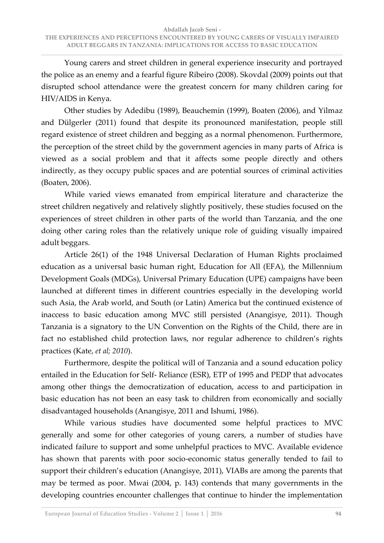Young carers and street children in general experience insecurity and portrayed the police as an enemy and a fearful figure Ribeiro (2008). Skovdal (2009) points out that disrupted school attendance were the greatest concern for many children caring for HIV/AIDS in Kenya.

 Other studies by Adedibu (1989), Beauchemin (1999), Boaten (2006), and Yilmaz and Dülgerler (2011) found that despite its pronounced manifestation, people still regard existence of street children and begging as a normal phenomenon. Furthermore, the perception of the street child by the government agencies in many parts of Africa is viewed as a social problem and that it affects some people directly and others indirectly, as they occupy public spaces and are potential sources of criminal activities (Boaten, 2006).

 While varied views emanated from empirical literature and characterize the street children negatively and relatively slightly positively, these studies focused on the experiences of street children in other parts of the world than Tanzania, and the one doing other caring roles than the relatively unique role of guiding visually impaired adult beggars.

 Article 26(1) of the 1948 Universal Declaration of Human Rights proclaimed education as a universal basic human right, Education for All (EFA), the Millennium Development Goals (MDGs), Universal Primary Education (UPE) campaigns have been launched at different times in different countries especially in the developing world such Asia, the Arab world, and South (or Latin) America but the continued existence of inaccess to basic education among MVC still persisted (Anangisye, 2011). Though Tanzania is a signatory to the UN Convention on the Rights of the Child, there are in fact no established child protection laws, nor regular adherence to children's rights practices (Kate, *et al; 2010*).

 Furthermore, despite the political will of Tanzania and a sound education policy entailed in the Education for Self- Reliance (ESR), ETP of 1995 and PEDP that advocates among other things the democratization of education, access to and participation in basic education has not been an easy task to children from economically and socially disadvantaged households (Anangisye, 2011 and Ishumi, 1986).

 While various studies have documented some helpful practices to MVC generally and some for other categories of young carers, a number of studies have indicated failure to support and some unhelpful practices to MVC. Available evidence has shown that parents with poor socio-economic status generally tended to fail to support their children's education (Anangisye, 2011), VIABs are among the parents that may be termed as poor. Mwai (2004, p. 143) contends that many governments in the developing countries encounter challenges that continue to hinder the implementation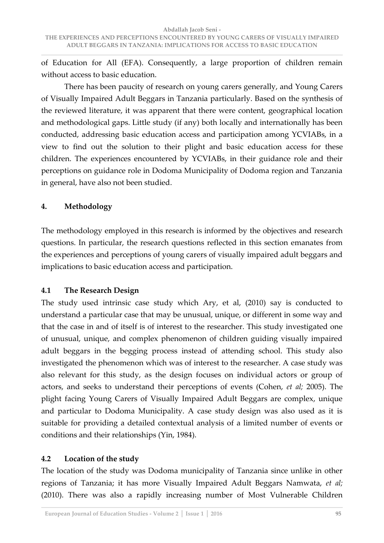of Education for All (EFA). Consequently, a large proportion of children remain without access to basic education.

 There has been paucity of research on young carers generally, and Young Carers of Visually Impaired Adult Beggars in Tanzania particularly. Based on the synthesis of the reviewed literature, it was apparent that there were content, geographical location and methodological gaps. Little study (if any) both locally and internationally has been conducted, addressing basic education access and participation among YCVIABs, in a view to find out the solution to their plight and basic education access for these children. The experiences encountered by YCVIABs, in their guidance role and their perceptions on guidance role in Dodoma Municipality of Dodoma region and Tanzania in general, have also not been studied.

## **4. Methodology**

The methodology employed in this research is informed by the objectives and research questions. In particular, the research questions reflected in this section emanates from the experiences and perceptions of young carers of visually impaired adult beggars and implications to basic education access and participation.

# **4.1 The Research Design**

The study used intrinsic case study which Ary, et al, (2010) say is conducted to understand a particular case that may be unusual, unique, or different in some way and that the case in and of itself is of interest to the researcher. This study investigated one of unusual, unique, and complex phenomenon of children guiding visually impaired adult beggars in the begging process instead of attending school. This study also investigated the phenomenon which was of interest to the researcher. A case study was also relevant for this study, as the design focuses on individual actors or group of actors, and seeks to understand their perceptions of events (Cohen, *et al;* 2005). The plight facing Young Carers of Visually Impaired Adult Beggars are complex, unique and particular to Dodoma Municipality. A case study design was also used as it is suitable for providing a detailed contextual analysis of a limited number of events or conditions and their relationships (Yin, 1984).

# **4.2 Location of the study**

The location of the study was Dodoma municipality of Tanzania since unlike in other regions of Tanzania; it has more Visually Impaired Adult Beggars Namwata, *et al;* (2010). There was also a rapidly increasing number of Most Vulnerable Children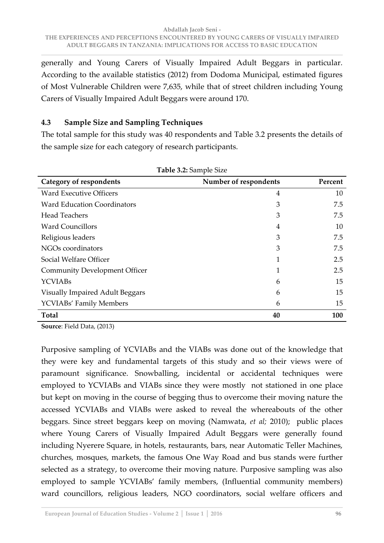generally and Young Carers of Visually Impaired Adult Beggars in particular. According to the available statistics (2012) from Dodoma Municipal, estimated figures of Most Vulnerable Children were 7,635, while that of street children including Young Carers of Visually Impaired Adult Beggars were around 170.

## **4.3 Sample Size and Sampling Techniques**

The total sample for this study was 40 respondents and Table 3.2 presents the details of the sample size for each category of research participants.

| Category of respondents                | Number of respondents | Percent    |
|----------------------------------------|-----------------------|------------|
| <b>Ward Executive Officers</b>         | $\overline{4}$        | 10         |
| <b>Ward Education Coordinators</b>     | 3                     | 7.5        |
| <b>Head Teachers</b>                   | 3                     | 7.5        |
| <b>Ward Councillors</b>                | 4                     | 10         |
| Religious leaders                      | 3                     | 7.5        |
| NGOs coordinators                      | 3                     | 7.5        |
| Social Welfare Officer                 | 1                     | 2.5        |
| <b>Community Development Officer</b>   | 1                     | 2.5        |
| <b>YCVIABs</b>                         | 6                     | 15         |
| <b>Visually Impaired Adult Beggars</b> | 6                     | 15         |
| <b>YCVIABs' Family Members</b>         | 6                     | 15         |
| <b>Total</b>                           | 40                    | <b>100</b> |

**Table 3.2:** Sample Size

**Source**: Field Data, (2013)

Purposive sampling of YCVIABs and the VIABs was done out of the knowledge that they were key and fundamental targets of this study and so their views were of paramount significance. Snowballing, incidental or accidental techniques were employed to YCVIABs and VIABs since they were mostly not stationed in one place but kept on moving in the course of begging thus to overcome their moving nature the accessed YCVIABs and VIABs were asked to reveal the whereabouts of the other beggars. Since street beggars keep on moving (Namwata, *et al;* 2010); public places where Young Carers of Visually Impaired Adult Beggars were generally found including Nyerere Square, in hotels, restaurants, bars, near Automatic Teller Machines, churches, mosques, markets, the famous One Way Road and bus stands were further selected as a strategy, to overcome their moving nature. Purposive sampling was also employed to sample YCVIABs' family members, (Influential community members) ward councillors, religious leaders, NGO coordinators, social welfare officers and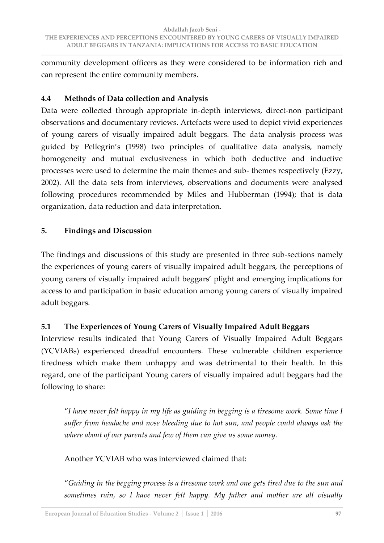community development officers as they were considered to be information rich and can represent the entire community members.

## **4.4 Methods of Data collection and Analysis**

Data were collected through appropriate in-depth interviews, direct-non participant observations and documentary reviews. Artefacts were used to depict vivid experiences of young carers of visually impaired adult beggars. The data analysis process was guided by Pellegrin's (1998) two principles of qualitative data analysis, namely homogeneity and mutual exclusiveness in which both deductive and inductive processes were used to determine the main themes and sub- themes respectively (Ezzy, 2002). All the data sets from interviews, observations and documents were analysed following procedures recommended by Miles and Hubberman (1994); that is data organization, data reduction and data interpretation.

## **5. Findings and Discussion**

The findings and discussions of this study are presented in three sub-sections namely the experiences of young carers of visually impaired adult beggars, the perceptions of young carers of visually impaired adult beggars' plight and emerging implications for access to and participation in basic education among young carers of visually impaired adult beggars.

# **5.1 The Experiences of Young Carers of Visually Impaired Adult Beggars**

Interview results indicated that Young Carers of Visually Impaired Adult Beggars (YCVIABs) experienced dreadful encounters. These vulnerable children experience tiredness which make them unhappy and was detrimental to their health. In this regard, one of the participant Young carers of visually impaired adult beggars had the following to share:

ȃ*I have never felt happy in my life as guiding in begging is a tiresome work. Some time I suffer from headache and nose bleeding due to hot sun, and people could always ask the where about of our parents and few of them can give us some money.* 

Another YCVIAB who was interviewed claimed that:

ȃ*Guiding in the begging process is a tiresome work and one gets tired due to the sun and sometimes rain, so I have never felt happy. My father and mother are all visually*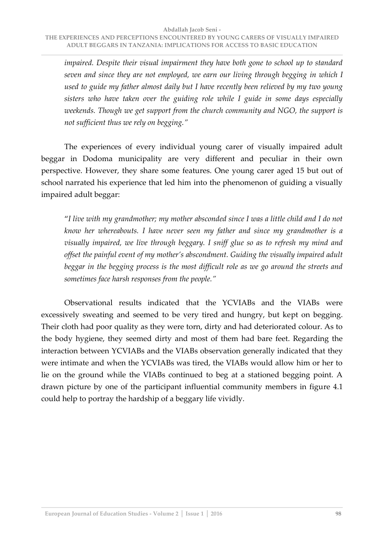*impaired. Despite their visual impairment they have both gone to school up to standard seven and since they are not employed, we earn our living through begging in which I used to guide my father almost daily but I have recently been relieved by my two young sisters who have taken over the guiding role while I guide in some days especially weekends. Though we get support from the church community and NGO, the support is not sufficient thus we rely on begging.Ȅ*

 The experiences of every individual young carer of visually impaired adult beggar in Dodoma municipality are very different and peculiar in their own perspective. However, they share some features. One young carer aged 15 but out of school narrated his experience that led him into the phenomenon of guiding a visually impaired adult beggar:

ȃ*I live with my grandmother; my mother absconded since I was a little child and I do not know her whereabouts. I have never seen my father and since my grandmother is a visually impaired, we live through beggary. I sniff glue so as to refresh my mind and offset the painful event of my mother's abscondment. Guiding the visually impaired adult beggar in the begging process is the most difficult role as we go around the streets and sometimes face harsh responses from the people.Ȅ*

 Observational results indicated that the YCVIABs and the VIABs were excessively sweating and seemed to be very tired and hungry, but kept on begging. Their cloth had poor quality as they were torn, dirty and had deteriorated colour. As to the body hygiene, they seemed dirty and most of them had bare feet. Regarding the interaction between YCVIABs and the VIABs observation generally indicated that they were intimate and when the YCVIABs was tired, the VIABs would allow him or her to lie on the ground while the VIABs continued to beg at a stationed begging point. A drawn picture by one of the participant influential community members in figure 4.1 could help to portray the hardship of a beggary life vividly.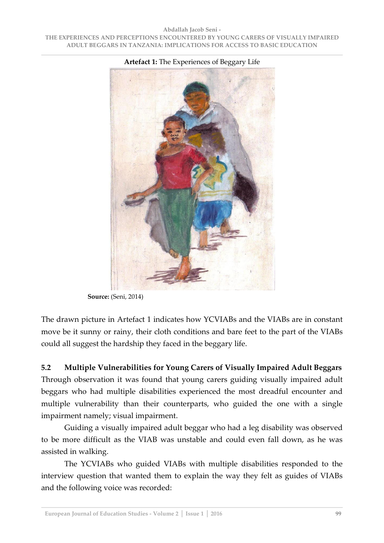

**Artefact 1:** The Experiences of Beggary Life

The drawn picture in Artefact 1 indicates how YCVIABs and the VIABs are in constant move be it sunny or rainy, their cloth conditions and bare feet to the part of the VIABs could all suggest the hardship they faced in the beggary life.

**5.2 Multiple Vulnerabilities for Young Carers of Visually Impaired Adult Beggars**  Through observation it was found that young carers guiding visually impaired adult beggars who had multiple disabilities experienced the most dreadful encounter and multiple vulnerability than their counterparts, who guided the one with a single impairment namely; visual impairment.

 Guiding a visually impaired adult beggar who had a leg disability was observed to be more difficult as the VIAB was unstable and could even fall down, as he was assisted in walking.

 The YCVIABs who guided VIABs with multiple disabilities responded to the interview question that wanted them to explain the way they felt as guides of VIABs and the following voice was recorded:

**Source:** (Seni, 2014)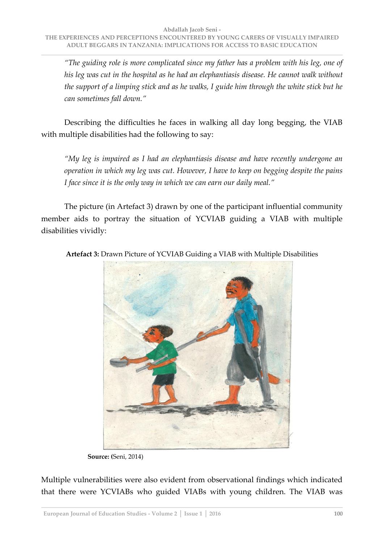*ȃThe guiding role is more complicated since my father has a problem with his leg, one of his leg was cut in the hospital as he had an elephantiasis disease. He cannot walk without the support of a limping stick and as he walks, I guide him through the white stick but he can sometimes fall down.Ȅ*

 Describing the difficulties he faces in walking all day long begging, the VIAB with multiple disabilities had the following to say:

*ȃMy leg is impaired as I had an elephantiasis disease and have recently undergone an operation in which my leg was cut. However, I have to keep on begging despite the pains I face since it is the only way in which we can earn our daily meal.*<sup>*"*</sup>

 The picture (in Artefact 3) drawn by one of the participant influential community member aids to portray the situation of YCVIAB guiding a VIAB with multiple disabilities vividly:



**Artefact 3:** Drawn Picture of YCVIAB Guiding a VIAB with Multiple Disabilities

 **Source: (**Seni, 2014)

Multiple vulnerabilities were also evident from observational findings which indicated that there were YCVIABs who guided VIABs with young children. The VIAB was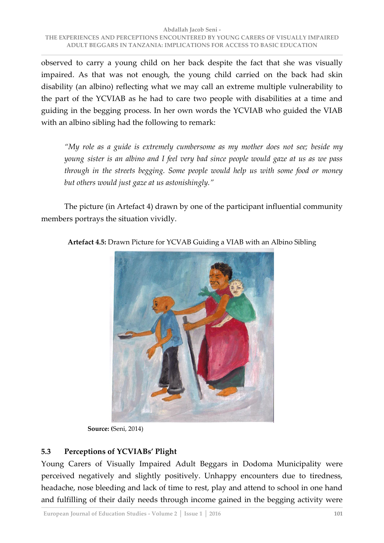observed to carry a young child on her back despite the fact that she was visually impaired. As that was not enough, the young child carried on the back had skin disability (an albino) reflecting what we may call an extreme multiple vulnerability to the part of the YCVIAB as he had to care two people with disabilities at a time and guiding in the begging process. In her own words the YCVIAB who guided the VIAB with an albino sibling had the following to remark:

*ȃMy role as a guide is extremely cumbersome as my mother does not see; beside my young sister is an albino and I feel very bad since people would gaze at us as we pass through in the streets begging. Some people would help us with some food or money but others would just gaze at us astonishingly.Ȅ*

 The picture (in Artefact 4) drawn by one of the participant influential community members portrays the situation vividly.



**Artefact 4.5:** Drawn Picture for YCVAB Guiding a VIAB with an Albino Sibling

 **Source: (**Seni, 2014)

# **5.3 Perceptions of YCVIABs' Plight**

Young Carers of Visually Impaired Adult Beggars in Dodoma Municipality were perceived negatively and slightly positively. Unhappy encounters due to tiredness, headache, nose bleeding and lack of time to rest, play and attend to school in one hand and fulfilling of their daily needs through income gained in the begging activity were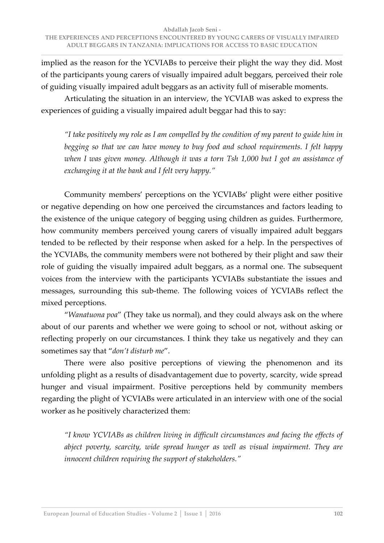implied as the reason for the YCVIABs to perceive their plight the way they did. Most of the participants young carers of visually impaired adult beggars, perceived their role of guiding visually impaired adult beggars as an activity full of miserable moments.

 Articulating the situation in an interview, the YCVIAB was asked to express the experiences of guiding a visually impaired adult beggar had this to say:

*ȃI take positively my role as I am compelled by the condition of my parent to guide him in begging so that we can have money to buy food and school requirements. I felt happy when I was given money. Although it was a torn Tsh 1,000 but I got an assistance of exchanging it at the bank and I felt very happy.*<sup>*"*</sup>

Community members' perceptions on the YCVIABs' plight were either positive or negative depending on how one perceived the circumstances and factors leading to the existence of the unique category of begging using children as guides. Furthermore, how community members perceived young carers of visually impaired adult beggars tended to be reflected by their response when asked for a help. In the perspectives of the YCVIABs, the community members were not bothered by their plight and saw their role of guiding the visually impaired adult beggars, as a normal one. The subsequent voices from the interview with the participants YCVIABs substantiate the issues and messages, surrounding this sub-theme. The following voices of YCVIABs reflect the mixed perceptions.

*"Wanatuona poa"* (They take us normal), and they could always ask on the where about of our parents and whether we were going to school or not, without asking or reflecting properly on our circumstances. I think they take us negatively and they can sometimes say that "don't disturb me".

 There were also positive perceptions of viewing the phenomenon and its unfolding plight as a results of disadvantagement due to poverty, scarcity, wide spread hunger and visual impairment. Positive perceptions held by community members regarding the plight of YCVIABs were articulated in an interview with one of the social worker as he positively characterized them:

*ȃI know YCVIABs as children living in difficult circumstances and facing the effects of abject poverty, scarcity, wide spread hunger as well as visual impairment. They are innocent children requiring the support of stakeholders.*<sup>*"*</sup>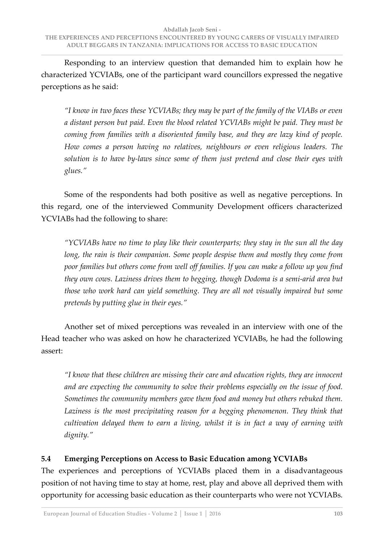Responding to an interview question that demanded him to explain how he characterized YCVIABs, one of the participant ward councillors expressed the negative perceptions as he said:

*ȃI know in two faces these YCVIABs; they may be part of the family of the VIABs or even a distant person but paid. Even the blood related YCVIABs might be paid. They must be coming from families with a disoriented family base, and they are lazy kind of people. How comes a person having no relatives, neighbours or even religious leaders. The solution is to have by-laws since some of them just pretend and close their eyes with glues.Ȅ*

 Some of the respondents had both positive as well as negative perceptions. In this regard, one of the interviewed Community Development officers characterized YCVIABs had the following to share:

*ȃYCVIABs have no time to play like their counterparts; they stay in the sun all the day long, the rain is their companion. Some people despise them and mostly they come from poor families but others come from well off families. If you can make a follow up you find they own cows. Laziness drives them to begging, though Dodoma is a semi-arid area but those who work hard can yield something. They are all not visually impaired but some pretends by putting glue in their eyes.Ȅ*

 Another set of mixed perceptions was revealed in an interview with one of the Head teacher who was asked on how he characterized YCVIABs, he had the following assert:

*ȃI know that these children are missing their care and education rights, they are innocent and are expecting the community to solve their problems especially on the issue of food. Sometimes the community members gave them food and money but others rebuked them.*  Laziness is the most precipitating reason for a begging phenomenon. They think that  *cultivation delayed them to earn a living, whilst it is in fact a way of earning with dignity.Ȅ*

# **5.4 Emerging Perceptions on Access to Basic Education among YCVIABs**

The experiences and perceptions of YCVIABs placed them in a disadvantageous position of not having time to stay at home, rest, play and above all deprived them with opportunity for accessing basic education as their counterparts who were not YCVIABs.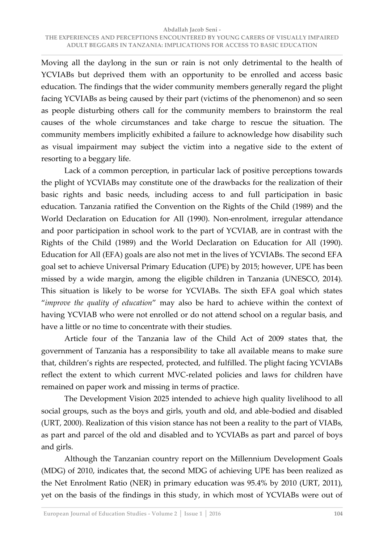Moving all the daylong in the sun or rain is not only detrimental to the health of YCVIABs but deprived them with an opportunity to be enrolled and access basic education. The findings that the wider community members generally regard the plight facing YCVIABs as being caused by their part (victims of the phenomenon) and so seen as people disturbing others call for the community members to brainstorm the real causes of the whole circumstances and take charge to rescue the situation. The community members implicitly exhibited a failure to acknowledge how disability such as visual impairment may subject the victim into a negative side to the extent of resorting to a beggary life.

 Lack of a common perception, in particular lack of positive perceptions towards the plight of YCVIABs may constitute one of the drawbacks for the realization of their basic rights and basic needs, including access to and full participation in basic education. Tanzania ratified the Convention on the Rights of the Child (1989) and the World Declaration on Education for All (1990). Non-enrolment, irregular attendance and poor participation in school work to the part of YCVIAB, are in contrast with the Rights of the Child (1989) and the World Declaration on Education for All (1990). Education for All (EFA) goals are also not met in the lives of YCVIABs. The second EFA goal set to achieve Universal Primary Education (UPE) by 2015; however, UPE has been missed by a wide margin, among the eligible children in Tanzania (UNESCO, 2014). This situation is likely to be worse for YCVIABs. The sixth EFA goal which states ȃ*improve the quality of education*Ȅ may also be hard to achieve within the context of having YCVIAB who were not enrolled or do not attend school on a regular basis, and have a little or no time to concentrate with their studies.

 Article four of the Tanzania law of the Child Act of 2009 states that, the government of Tanzania has a responsibility to take all available means to make sure that, children's rights are respected, protected, and fulfilled. The plight facing YCVIABs reflect the extent to which current MVC-related policies and laws for children have remained on paper work and missing in terms of practice.

 The Development Vision 2025 intended to achieve high quality livelihood to all social groups, such as the boys and girls, youth and old, and able-bodied and disabled (URT, 2000). Realization of this vision stance has not been a reality to the part of VIABs, as part and parcel of the old and disabled and to YCVIABs as part and parcel of boys and girls.

 Although the Tanzanian country report on the Millennium Development Goals (MDG) of 2010, indicates that, the second MDG of achieving UPE has been realized as the Net Enrolment Ratio (NER) in primary education was 95.4% by 2010 (URT, 2011), yet on the basis of the findings in this study, in which most of YCVIABs were out of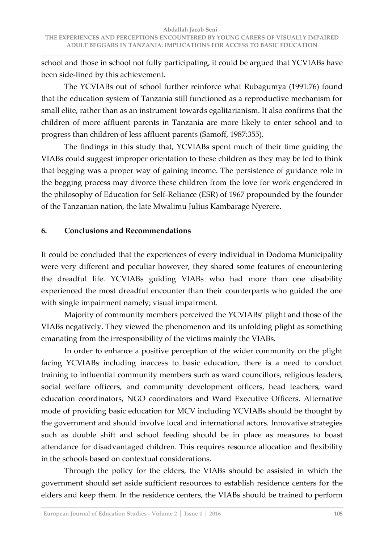school and those in school not fully participating, it could be argued that YCVIABs have been side-lined by this achievement.

 The YCVIABs out of school further reinforce what Rubagumya (1991:76) found that the education system of Tanzania still functioned as a reproductive mechanism for small elite, rather than as an instrument towards egalitarianism. It also confirms that the children of more affluent parents in Tanzania are more likely to enter school and to progress than children of less affluent parents (Samoff, 1987:355).

 The findings in this study that, YCVIABs spent much of their time guiding the VIABs could suggest improper orientation to these children as they may be led to think that begging was a proper way of gaining income. The persistence of guidance role in the begging process may divorce these children from the love for work engendered in the philosophy of Education for Self-Reliance (ESR) of 1967 propounded by the founder of the Tanzanian nation, the late Mwalimu Julius Kambarage Nyerere.

## **6. Conclusions and Recommendations**

It could be concluded that the experiences of every individual in Dodoma Municipality were very different and peculiar however, they shared some features of encountering the dreadful life. YCVIABs guiding VIABs who had more than one disability experienced the most dreadful encounter than their counterparts who guided the one with single impairment namely; visual impairment.

Majority of community members perceived the YCVIABs' plight and those of the VIABs negatively. They viewed the phenomenon and its unfolding plight as something emanating from the irresponsibility of the victims mainly the VIABs.

 In order to enhance a positive perception of the wider community on the plight facing YCVIABs including inaccess to basic education, there is a need to conduct training to influential community members such as ward councillors, religious leaders, social welfare officers, and community development officers, head teachers, ward education coordinators, NGO coordinators and Ward Executive Officers. Alternative mode of providing basic education for MCV including YCVIABs should be thought by the government and should involve local and international actors. Innovative strategies such as double shift and school feeding should be in place as measures to boast attendance for disadvantaged children. This requires resource allocation and flexibility in the schools based on contextual considerations.

 Through the policy for the elders, the VIABs should be assisted in which the government should set aside sufficient resources to establish residence centers for the elders and keep them. In the residence centers, the VIABs should be trained to perform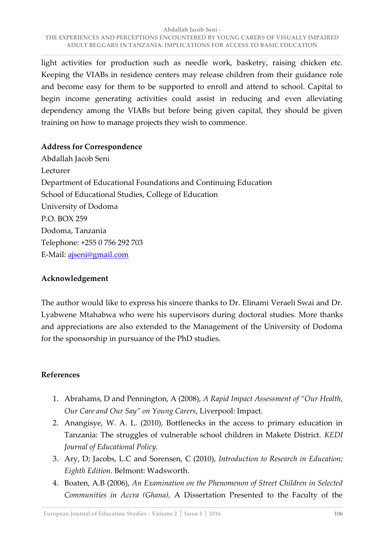light activities for production such as needle work, basketry, raising chicken etc. Keeping the VIABs in residence centers may release children from their guidance role and become easy for them to be supported to enroll and attend to school. Capital to begin income generating activities could assist in reducing and even alleviating dependency among the VIABs but before being given capital, they should be given training on how to manage projects they wish to commence.

## **Address for Correspondence**

Abdallah Jacob Seni Lecturer Department of Educational Foundations and Continuing Education School of Educational Studies, College of Education University of Dodoma P.O. BOX 259 Dodoma, Tanzania Telephone: +255 0 756 292 703 E-Mail: ajseni@gmail.com

## **Acknowledgement**

The author would like to express his sincere thanks to Dr. Elinami Veraeli Swai and Dr. Lyabwene Mtahabwa who were his supervisors during doctoral studies. More thanks and appreciations are also extended to the Management of the University of Dodoma for the sponsorship in pursuance of the PhD studies.

## **References**

- 1. Abrahams, D and Pennington, A (2008), *A Rapid Impact Assessment of ȃOur Health, Our Care and Our SayȄ on Young Carers*, Liverpool: Impact.
- 2. Anangisye, W. A. L. (2010), Bottlenecks in the access to primary education in Tanzania: The struggles of vulnerable school children in Makete District. *KEDI Journal of Educational Policy.*
- 3. Ary, D; Jacobs, L.C and Sorensen, C (2010), *Introduction to Research in Education; Eighth Edition*. Belmont: Wadsworth.
- 4. Boaten, A.B (2006), *An Examination on the Phenomenon of Street Children in Selected Communities in Accra (Ghana),* A Dissertation Presented to the Faculty of the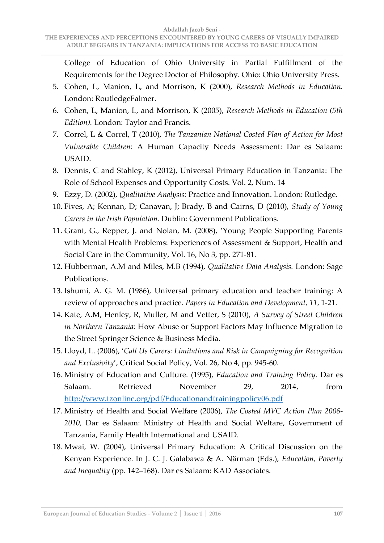College of Education of Ohio University in Partial Fulfillment of the Requirements for the Degree Doctor of Philosophy. Ohio: Ohio University Press.

- 5. Cohen, L, Manion, L, and Morrison, K (2000), *Research Methods in Education.* London: RoutledgeFalmer.
- 6. Cohen, L, Manion, L, and Morrison, K (2005), *Research Methods in Education (5th Edition).* London: Taylor and Francis.
- 7. Correl, L & Correl, T (2010), *The Tanzanian National Costed Plan of Action for Most Vulnerable Children:* A Human Capacity Needs Assessment: Dar es Salaam: USAID.
- 8. Dennis, C and Stahley, K (2012), Universal Primary Education in Tanzania: The Role of School Expenses and Opportunity Costs. Vol. 2, Num. 14
- 9. Ezzy, D. (2002), *Qualitative Analysis:* Practice and Innovation. London: Rutledge.
- 10. Fives, A; Kennan, D; Canavan, J; Brady, B and Cairns, D (2010), *Study of Young Carers in the Irish Population.* Dublin: Government Publications.
- 11. Grant, G., Repper, J. and Nolan, M. (2008), 'Young People Supporting Parents with Mental Health Problems: Experiences of Assessment & Support, Health and Social Care in the Community, Vol. 16, No 3, pp. 271-81.
- 12. Hubberman, A.M and Miles, M.B (1994), *Qualitative Data Analysis.* London: Sage Publications.
- 13. Ishumi, A. G. M. (1986), Universal primary education and teacher training: A review of approaches and practice. *Papers in Education and Development, 11*, 1-21.
- 14. Kate, A.M, Henley, R, Muller, M and Vetter, S (2010), *A Survey of Street Children in Northern Tanzania:* How Abuse or Support Factors May Influence Migration to the Street Springer Science & Business Media.
- 15. Lloyd, L. (2006), 'Call Us Carers: Limitations and Risk in Campaigning for Recognition *and Exclusivity'*, Critical Social Policy, Vol. 26, No 4, pp. 945-60.
- 16. Ministry of Education and Culture. (1995), *Education and Training Policy*. Dar es Salaam. Retrieved November 29, 2014, from <http://www.tzonline.org/pdf/Educationandtrainingpolicy06.pdf>
- 17. Ministry of Health and Social Welfare (2006), *The Costed MVC Action Plan 2006- 2010,* Dar es Salaam: Ministry of Health and Social Welfare, Government of Tanzania, Family Health International and USAID.
- 18. Mwai, W. (2004), Universal Primary Education: A Critical Discussion on the Kenyan Experience. In J. C. J. Galabawa & A. Närman (Eds.), *Education, Poverty and Inequality* (pp. 142–168). Dar es Salaam: KAD Associates.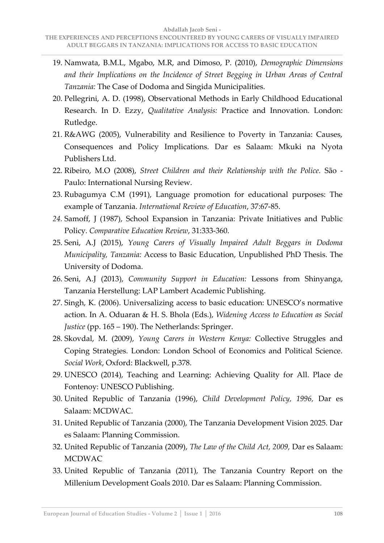- 19. Namwata, B.M.L, Mgabo, M.R, and Dimoso, P. (2010), *Demographic Dimensions*  and their Implications on the Incidence of Street Begging in Urban Areas of Central *Tanzania:* The Case of Dodoma and Singida Municipalities.
- 20. Pellegrini, A. D. (1998), Observational Methods in Early Childhood Educational Research. In D. Ezzy, *Qualitative Analysis:* Practice and Innovation. London: Rutledge.
- 21. R&AWG (2005), Vulnerability and Resilience to Poverty in Tanzania: Causes, Consequences and Policy Implications. Dar es Salaam: Mkuki na Nyota Publishers Ltd.
- 22. Ribeiro, M.O (2008), *Street Children and their Relationship with the Police.* São Paulo: International Nursing Review.
- 23. Rubagumya C.M (1991), Language promotion for educational purposes: The example of Tanzania. *International Review of Education*, 37:67-85.
- *24.* Samoff, J (1987), School Expansion in Tanzania: Private Initiatives and Public Policy. *Comparative Education Review*, 31:333-360.
- 25. Seni, A.J (2015), *Young Carers of Visually Impaired Adult Beggars in Dodoma Municipality, Tanzania:* Access to Basic Education, Unpublished PhD Thesis. The University of Dodoma.
- 26. Seni, A.J (2013), *Community Support in Education:* Lessons from Shinyanga, Tanzania Herstellung: LAP Lambert Academic Publishing.
- 27. Singh, K. (2006). Universalizing access to basic education: UNESCO's normative action. In A. Oduaran & H. S. Bhola (Eds.), *Widening Access to Education as Social Justice* (pp. 165 – 190). The Netherlands: Springer.
- 28. Skovdal, M. (2009), *Young Carers in Western Kenya:* Collective Struggles and Coping Strategies. London: London School of Economics and Political Science. *Social Work*, Oxford: Blackwell, p.378.
- 29. UNESCO (2014), Teaching and Learning: Achieving Quality for All. Place de Fontenoy: UNESCO Publishing.
- 30. United Republic of Tanzania (1996), *Child Development Policy, 1996,* Dar es Salaam: MCDWAC.
- 31. United Republic of Tanzania (2000), The Tanzania Development Vision 2025. Dar es Salaam: Planning Commission.
- 32. United Republic of Tanzania (2009), *The Law of the Child Act, 2009,* Dar es Salaam: MCDWAC
- 33. United Republic of Tanzania (2011), The Tanzania Country Report on the Millenium Development Goals 2010. Dar es Salaam: Planning Commission.